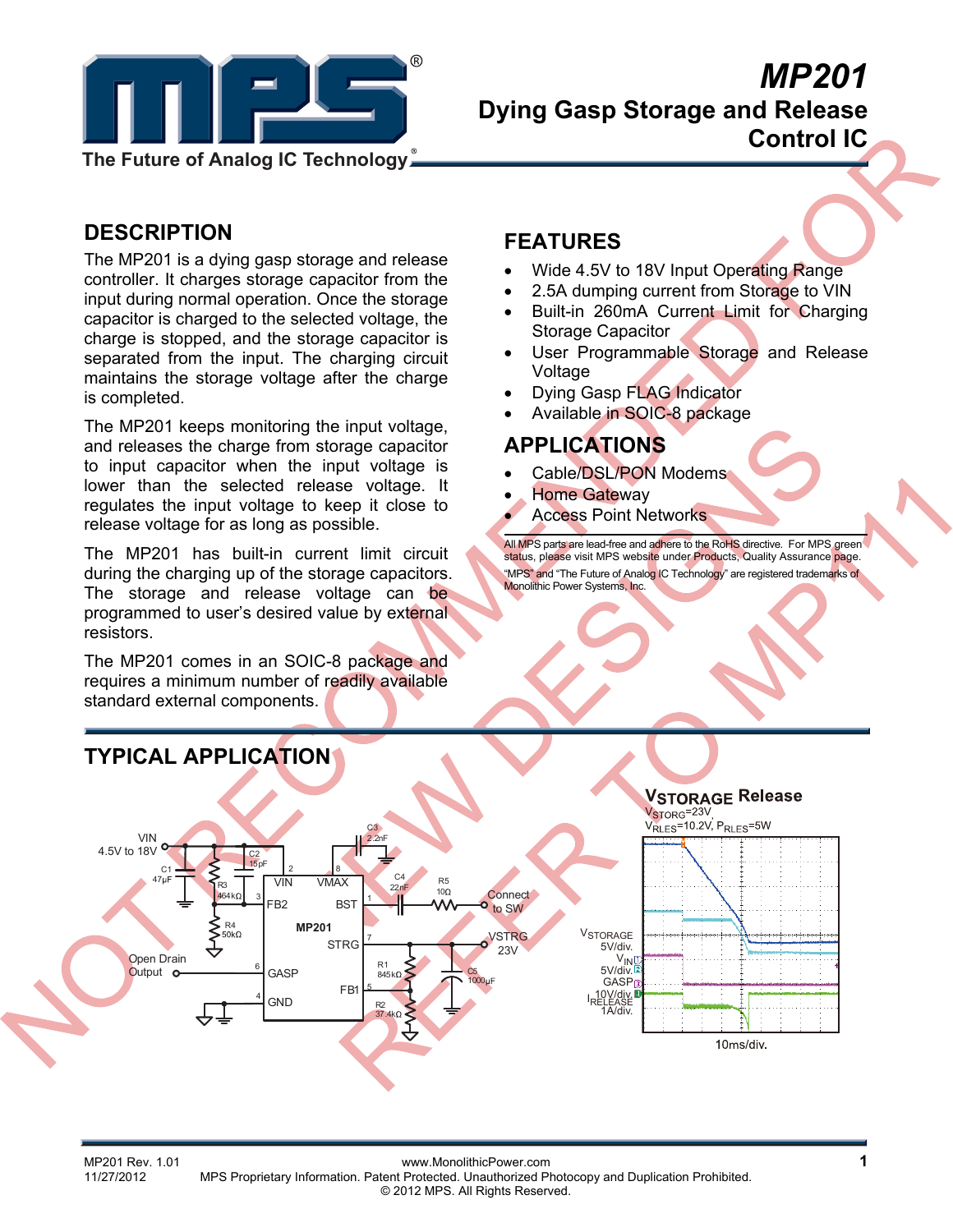

# **Dying Gasp Storage and Release Control IC**

## **DESCRIPTION**

The MP201 is a dying gasp storage and release controller. It charges storage capacitor from the input during normal operation. Once the storage capacitor is charged to the selected voltage, the charge is stopped, and the storage capacitor is separated from the input. The charging circuit maintains the storage voltage after the charge is completed.

The MP201 keeps monitoring the input voltage, and releases the charge from storage capacitor to input capacitor when the input voltage is lower than the selected release voltage. It regulates the input voltage to keep it close to release voltage for as long as possible.

The MP201 has built-in current limit circuit during the charging up of the storage capacitors. The storage and release voltage can be programmed to user's desired value by external resistors.

The MP201 comes in an SOIC-8 package and requires a minimum number of readily available standard external components.

## **FEATURES**

- Wide 4.5V to 18V Input Operating Range
- 2.5A dumping current from Storage to VIN
- Built-in 260mA Current Limit for Charging Storage Capacitor
- User Programmable Storage and Release Voltage
- Dying Gasp FLAG Indicator
- Available in SOIC-8 package

## **APPLICATIONS**

- Cable/DSL/PON Modems
- Home Gateway
- Access Point Networks

All MPS parts are lead-free and adhere to the RoHS directive. For MPS green status, please visit MPS website under Products, Quality Assurance page. "MPS" and "The Future of Analog IC Technology" are registered trademarks of Monolithic Power Systems, Inc.



MP201 Rev. 1.01 www.MonolithicPower.com<br>11/27/2012 MPS Proprietary Information Patent Protected Unauthorized Photocopy and Duplication Prohibited 11/27/2012 MPS Proprietary Information. Patent Protected. Unauthorized Photocopy and Duplication Prohibited. © 2012 MPS. All Rights Reserved.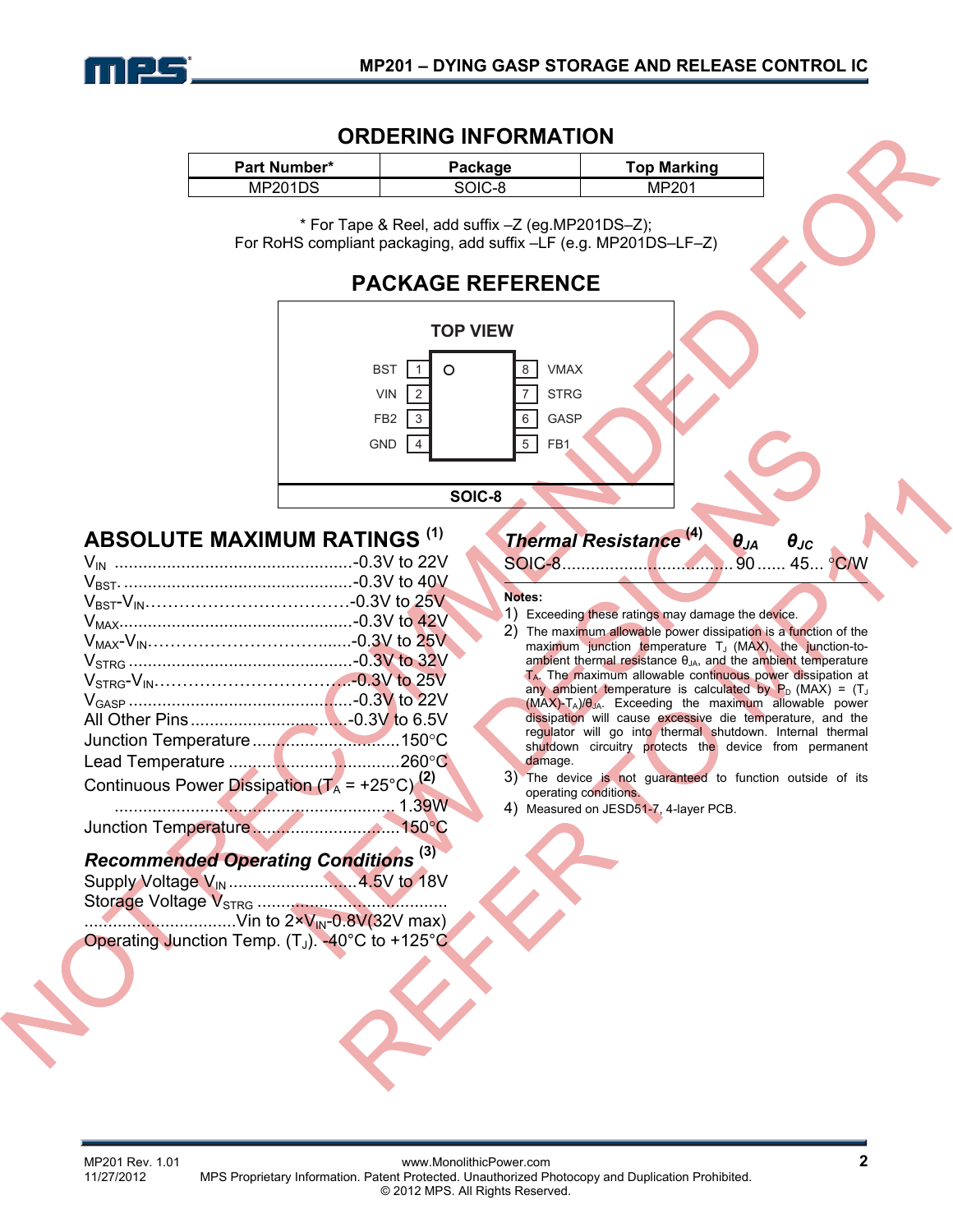

#### **ORDERING INFORMATION**

| <b>Part Number*</b> | Package | <b>Top Marking</b> |
|---------------------|---------|--------------------|
| MP201DS             | SOIC-8  | MP201              |

\* For Tape & Reel, add suffix –Z (eg.MP201DS–Z); For RoHS compliant packaging, add suffix –LF (e.g. MP201DS–LF–Z)

## **PACKAGE REFERENCE**



### **ABSOLUTE MAXIMUM RATINGS (1)**

| Continuous Power Dissipation $(T_A = +25^{\circ}C)^{(2)}$ |  |
|-----------------------------------------------------------|--|
|                                                           |  |
|                                                           |  |

## *Recommended Operating Conditions* **(3)**

| Supply Voltage V <sub>IN</sub> 4.5V to 18V                        |  |
|-------------------------------------------------------------------|--|
|                                                                   |  |
| $\ldots$ Vin to $2 \times V_{\text{IN}} - 0.8 V(32V \text{ max})$ |  |
| Operating Junction Temp. $(T_J)$ . -40°C to +125°C.               |  |

## *Thermal Resistance* **(4)** *θJA θJC*

SOIC-8.................................... 90...... 45... °C/W

#### **Notes:**

- 1) Exceeding these ratings may damage the device.
- 2) The maximum allowable power dissipation is a function of the maximum junction temperature  $T_J$  (MAX), the junction-toambient thermal resistance  $\theta_{JA}$ , and the ambient temperature TA. The maximum allowable continuous power dissipation at any ambient temperature is calculated by  $P_D$  (MAX) =  $(T_J)$ (MAX)-TA)/θJA. Exceeding the maximum allowable power dissipation will cause excessive die temperature, and the regulator will go into thermal shutdown. Internal thermal shutdown circuitry protects the device from permanent damage.
- 3) The device is not guaranteed to function outside of its operating conditions.
- 4) Measured on JESD51-7, 4-layer PCB.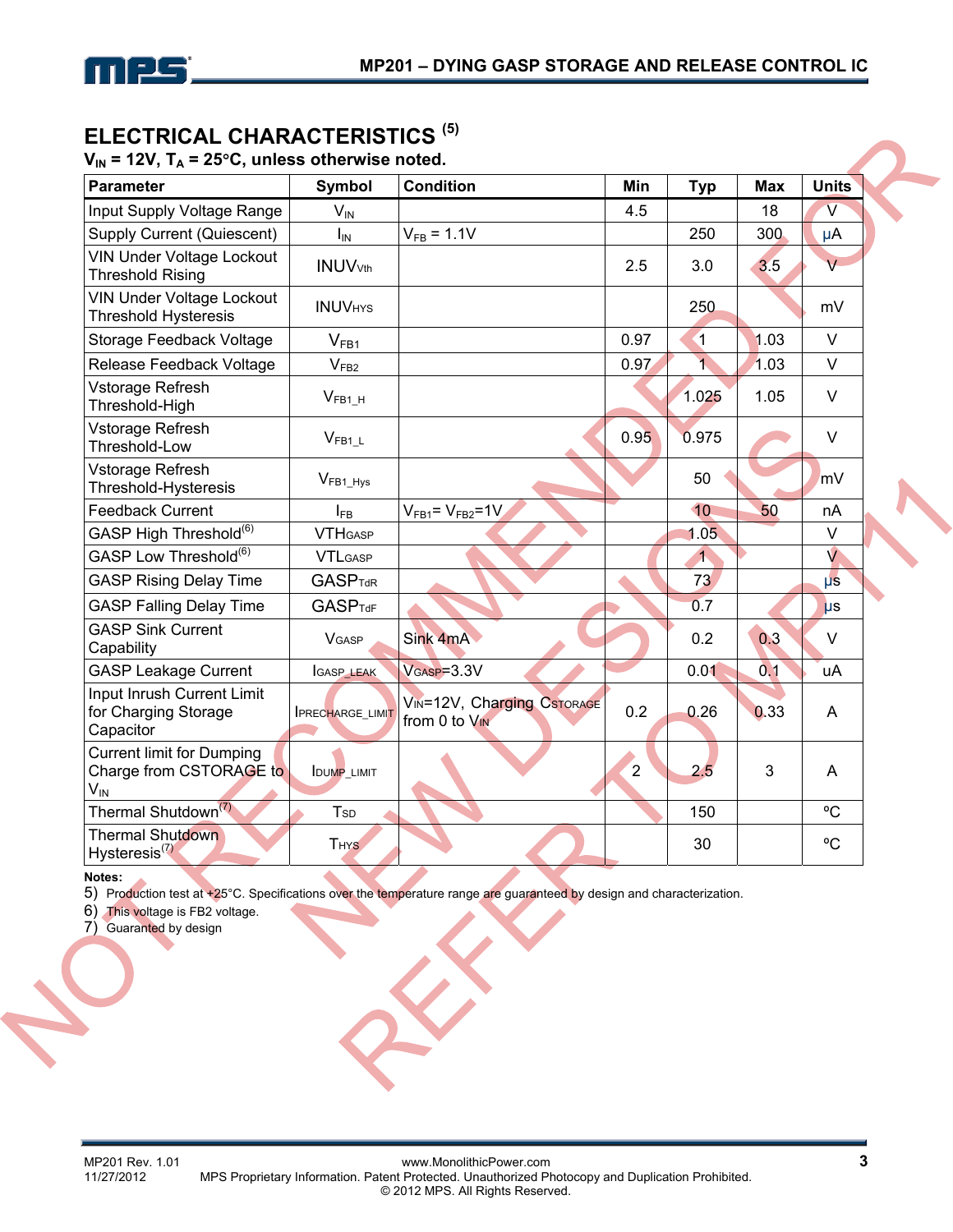

### **ELECTRICAL CHARACTERISTICS (5)**

 $V_{IN}$  = 12V,  $T_A$  = 25°C, unless otherwise noted.

| <b>Parameter</b>                                                                          | Symbol                      | <b>Condition</b>                            | Min            | <b>Typ</b>              | <b>Max</b> | <b>Units</b> |
|-------------------------------------------------------------------------------------------|-----------------------------|---------------------------------------------|----------------|-------------------------|------------|--------------|
| Input Supply Voltage Range                                                                | $V_{IN}$                    |                                             | 4.5            |                         | 18         | V            |
| Supply Current (Quiescent)                                                                | $I_{IN}$                    | $V_{FB} = 1.1V$                             |                | 250                     | 300        | μA           |
| VIN Under Voltage Lockout<br><b>Threshold Rising</b>                                      | <b>INUV</b> <sub>Vth</sub>  |                                             | 2.5            | 3.0                     | 3.5        | v            |
| <b>VIN Under Voltage Lockout</b><br><b>Threshold Hysteresis</b>                           | <b>INUVHYS</b>              |                                             |                | 250                     |            | mV           |
| Storage Feedback Voltage                                                                  | $\mathsf{V}_{\mathsf{FB1}}$ |                                             | 0.97           | $\overline{1}$          | 1.03       | V            |
| Release Feedback Voltage                                                                  | V <sub>FB2</sub>            |                                             | 0.97           | $\overline{1}$          | 1.03       | $\vee$       |
| Vstorage Refresh<br>Threshold-High                                                        | $V_{FB1_H}$                 |                                             |                | 1.025                   | 1.05       | V            |
| Vstorage Refresh<br>Threshold-Low                                                         | $V_{\text{FB1}\_\text{L}}$  |                                             | 0.95           | 0.975                   |            | $\vee$       |
| Vstorage Refresh<br>Threshold-Hysteresis                                                  | $V_{FB1_Hys}$               |                                             |                | 50                      |            | mV           |
| <b>Feedback Current</b>                                                                   | $I_{FB}$                    | $V_{FB1} = V_{FB2} = 1V$                    |                | 10                      | 50         | nA           |
| GASP High Threshold <sup>(6)</sup>                                                        | <b>VTHGASP</b>              |                                             |                | 1.05                    |            | $\vee$       |
| GASP Low Threshold <sup>(6)</sup>                                                         | <b>VTLGASP</b>              |                                             |                | $\overline{\mathbf{1}}$ |            | $\vee$       |
| <b>GASP Rising Delay Time</b>                                                             | <b>GASPTdR</b>              |                                             |                | 73                      |            | $\mu s$      |
| <b>GASP Falling Delay Time</b>                                                            | <b>GASPTdF</b>              |                                             |                | 0.7                     |            | $\mu s$      |
| <b>GASP Sink Current</b><br>Capability                                                    | <b>VGASP</b>                | Sink 4mA                                    |                | 0.2                     | 0.3        | V            |
| <b>GASP Leakage Current</b>                                                               | <b>GASP_LEAK</b>            | $VGASP=3.3V$                                |                | 0.01                    | 0.1        | uA           |
| Input Inrush Current Limit<br>for Charging Storage<br>Capacitor                           | <b>IPRECHARGE_LIMIT</b>     | VIN=12V, Charging CSTORAGE<br>from 0 to VIN | 0.2            | 0.26                    | 0.33       | A            |
| <b>Current limit for Dumping</b><br>Charge from CSTORAGE to<br>$\mathsf{V}_{\mathsf{IN}}$ | <b>IDUMP_LIMIT</b>          |                                             | $\overline{2}$ | 2.5                     | 3          | A            |
| Thermal Shutdown <sup>(7)</sup>                                                           | <b>T</b> <sub>sp</sub>      |                                             |                | 150                     |            | °C           |
| Thermal Shutdown<br>Hysteresis $^{(7)}$                                                   | <b>THYS</b>                 |                                             |                | 30                      |            | °C           |

**Notes:** 

5) Production test at +25°C. Specifications over the temperature range are guaranteed by design and characterization.

6) This voltage is FB2 voltage.

7) Guaranted by design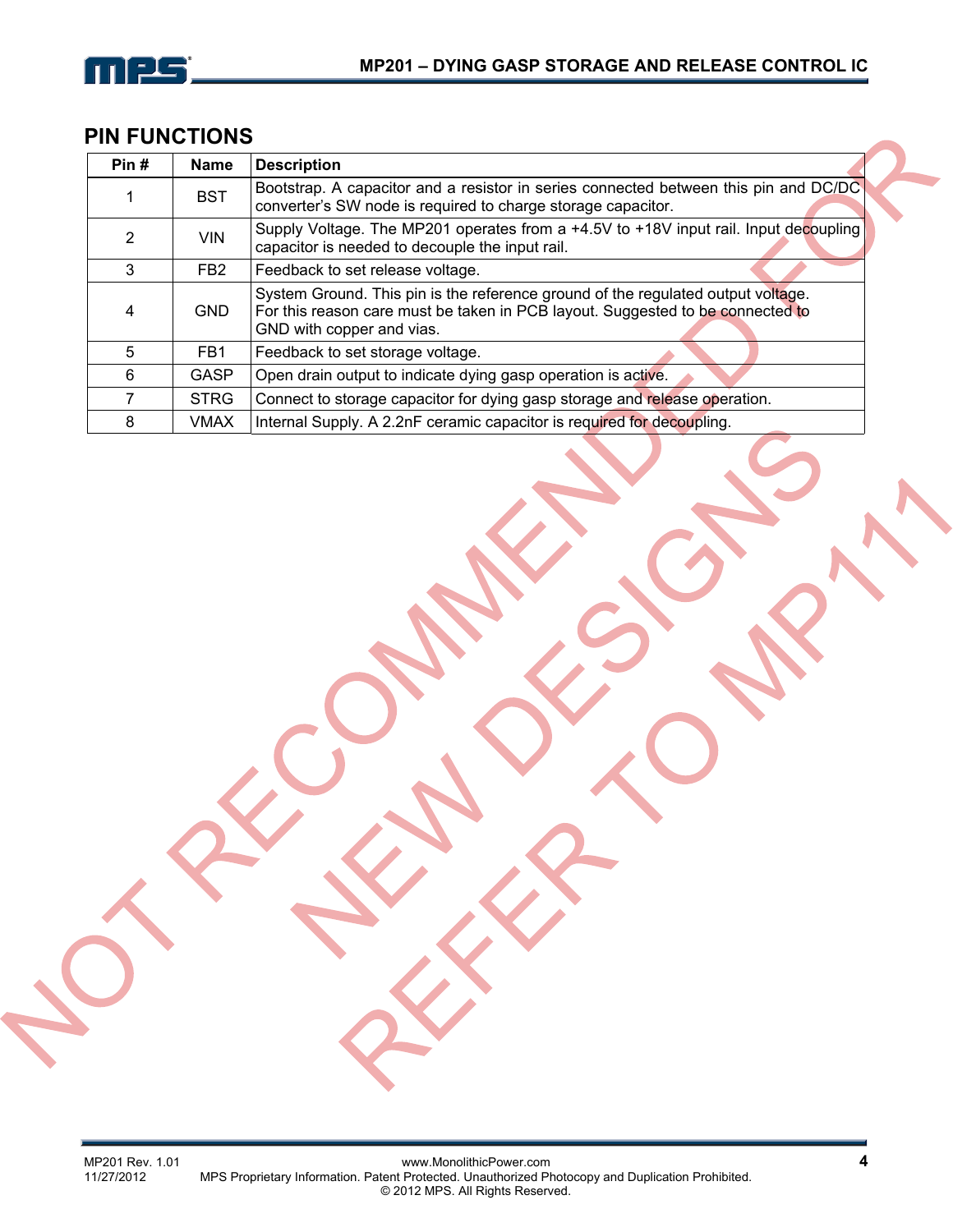

## **PIN FUNCTIONS**

| Pin# | <b>Name</b>     | <b>Description</b>                                                                                                                                                                              |
|------|-----------------|-------------------------------------------------------------------------------------------------------------------------------------------------------------------------------------------------|
|      | <b>BST</b>      | Bootstrap. A capacitor and a resistor in series connected between this pin and DC/DC<br>converter's SW node is required to charge storage capacitor.                                            |
| 2    | <b>VIN</b>      | Supply Voltage. The MP201 operates from a +4.5V to +18V input rail. Input decoupling<br>capacitor is needed to decouple the input rail.                                                         |
| 3    | FB <sub>2</sub> | Feedback to set release voltage.                                                                                                                                                                |
| 4    | <b>GND</b>      | System Ground. This pin is the reference ground of the regulated output voltage.<br>For this reason care must be taken in PCB layout. Suggested to be connected to<br>GND with copper and vias. |
| 5    | FB <sub>1</sub> | Feedback to set storage voltage.                                                                                                                                                                |
| 6    | <b>GASP</b>     | Open drain output to indicate dying gasp operation is active.                                                                                                                                   |
|      | <b>STRG</b>     | Connect to storage capacitor for dying gasp storage and release operation.                                                                                                                      |
| 8    | <b>VMAX</b>     | Internal Supply. A 2.2nF ceramic capacitor is required for decoupling.                                                                                                                          |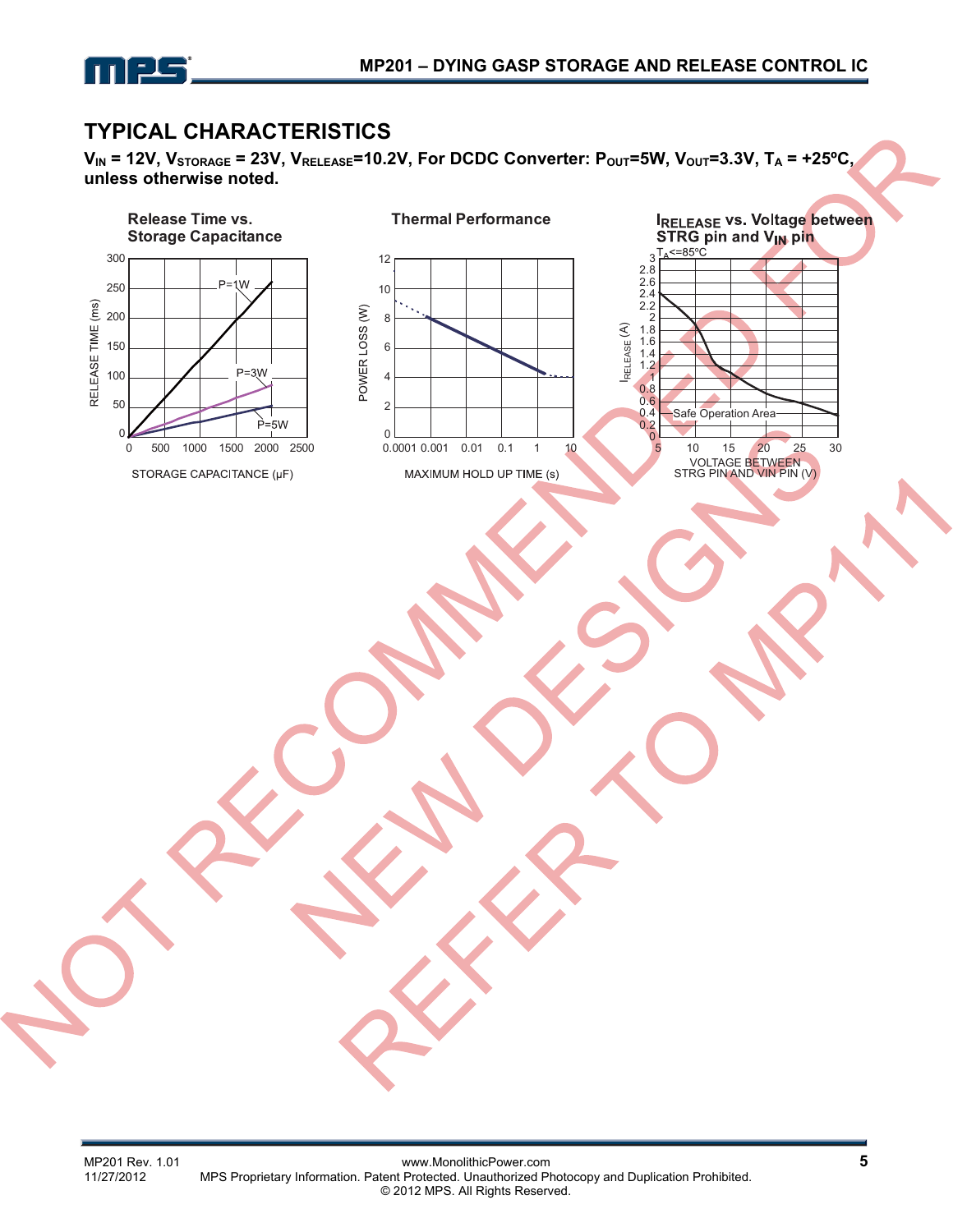

## **TYPICAL CHARACTERISTICS**

**VIN = 12V, VSTORAGE = 23V, VRELEASE=10.2V, For DCDC Converter: POUT=5W, VOUT=3.3V, TA = +25ºC, unless otherwise noted.**

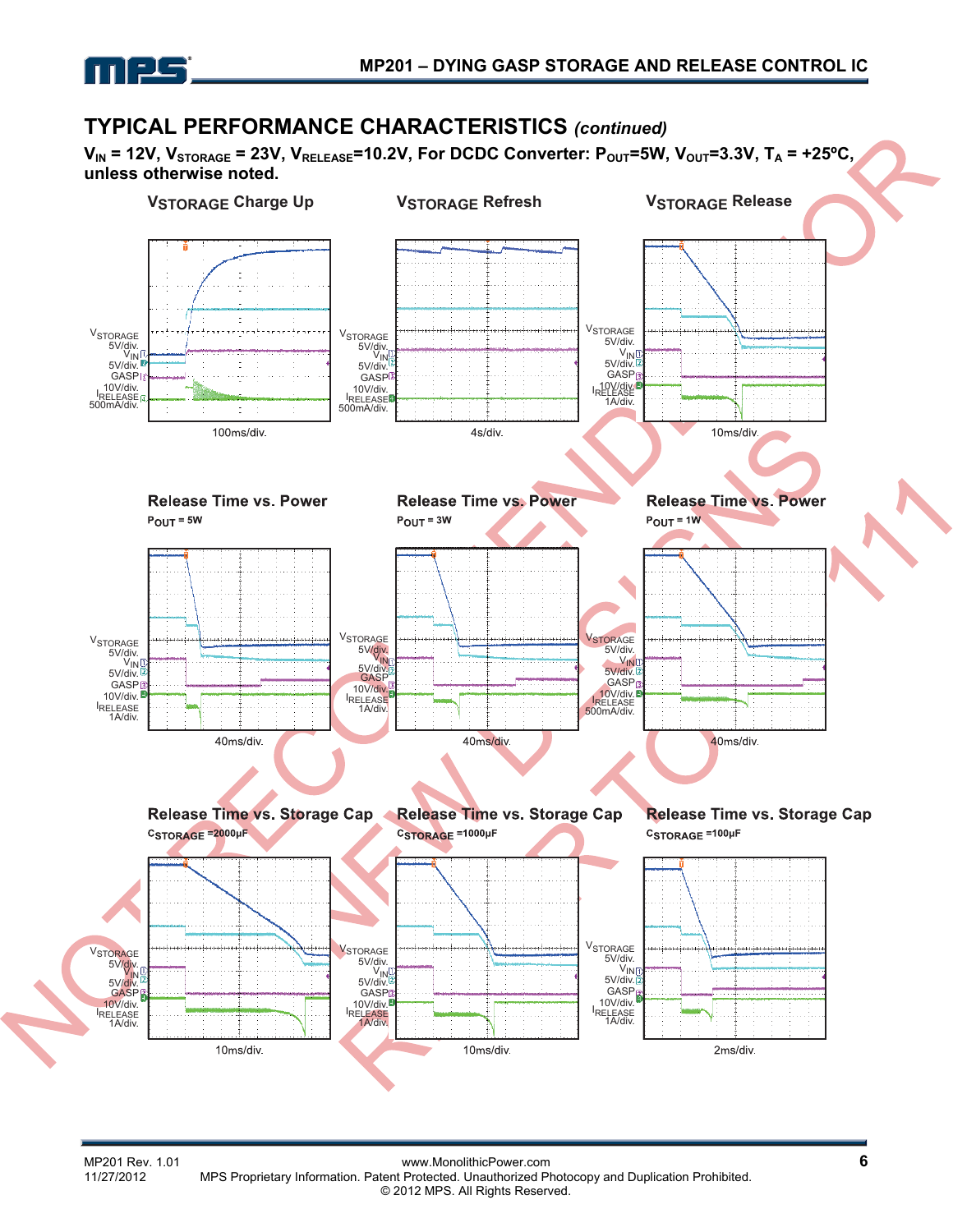

## **TYPICAL PERFORMANCE CHARACTERISTICS** *(continued)*

 $V_{IN}$  = 12V,  $V_{STORAGE}$  = 23V,  $V_{RELEASE}$ =10.2V, For DCDC Converter:  $P_{OUT}$ =5W,  $V_{OUT}$ =3.3V,  $T_A$  = +25°C, **unless otherwise noted.**

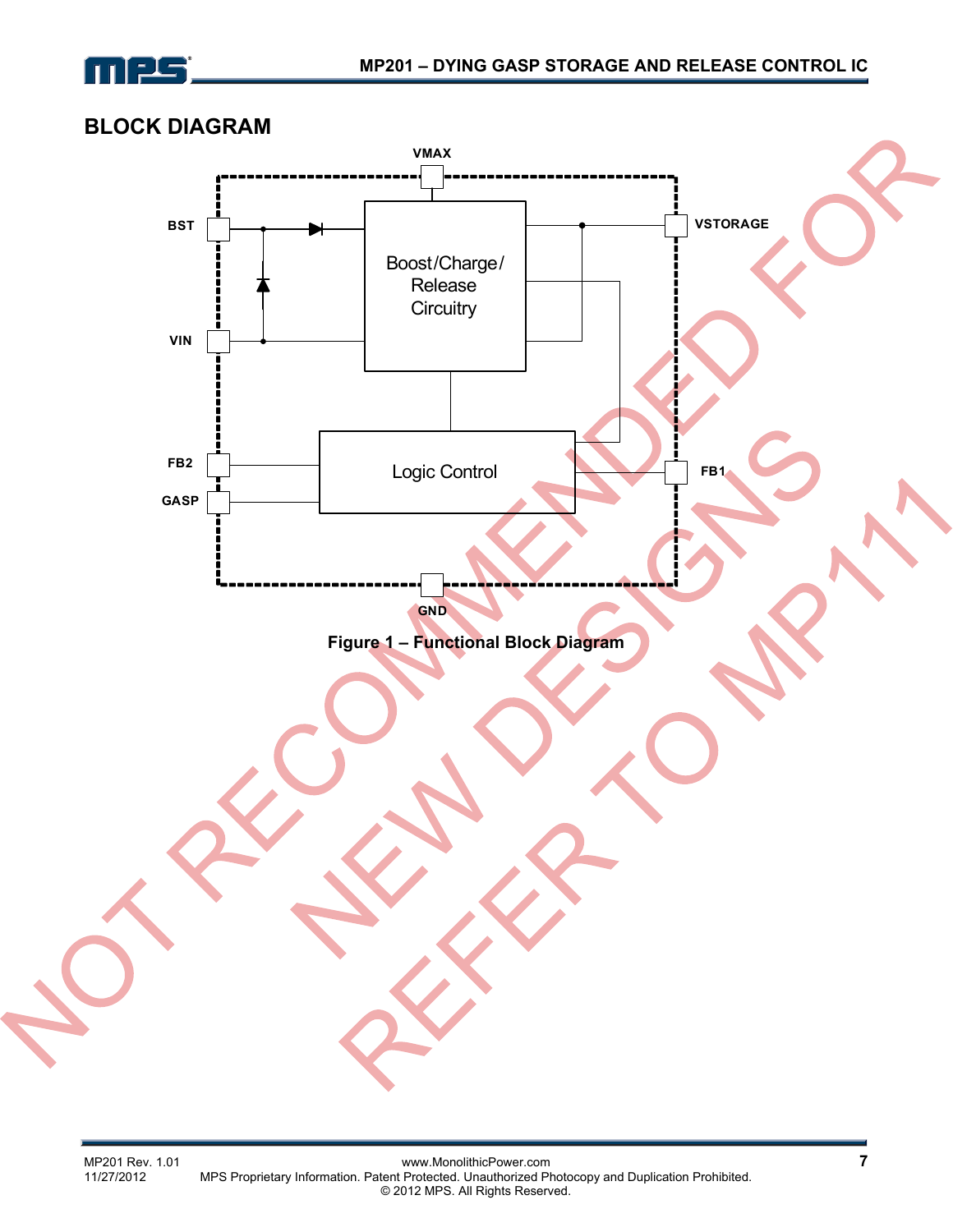

## **BLOCK DIAGRAM**

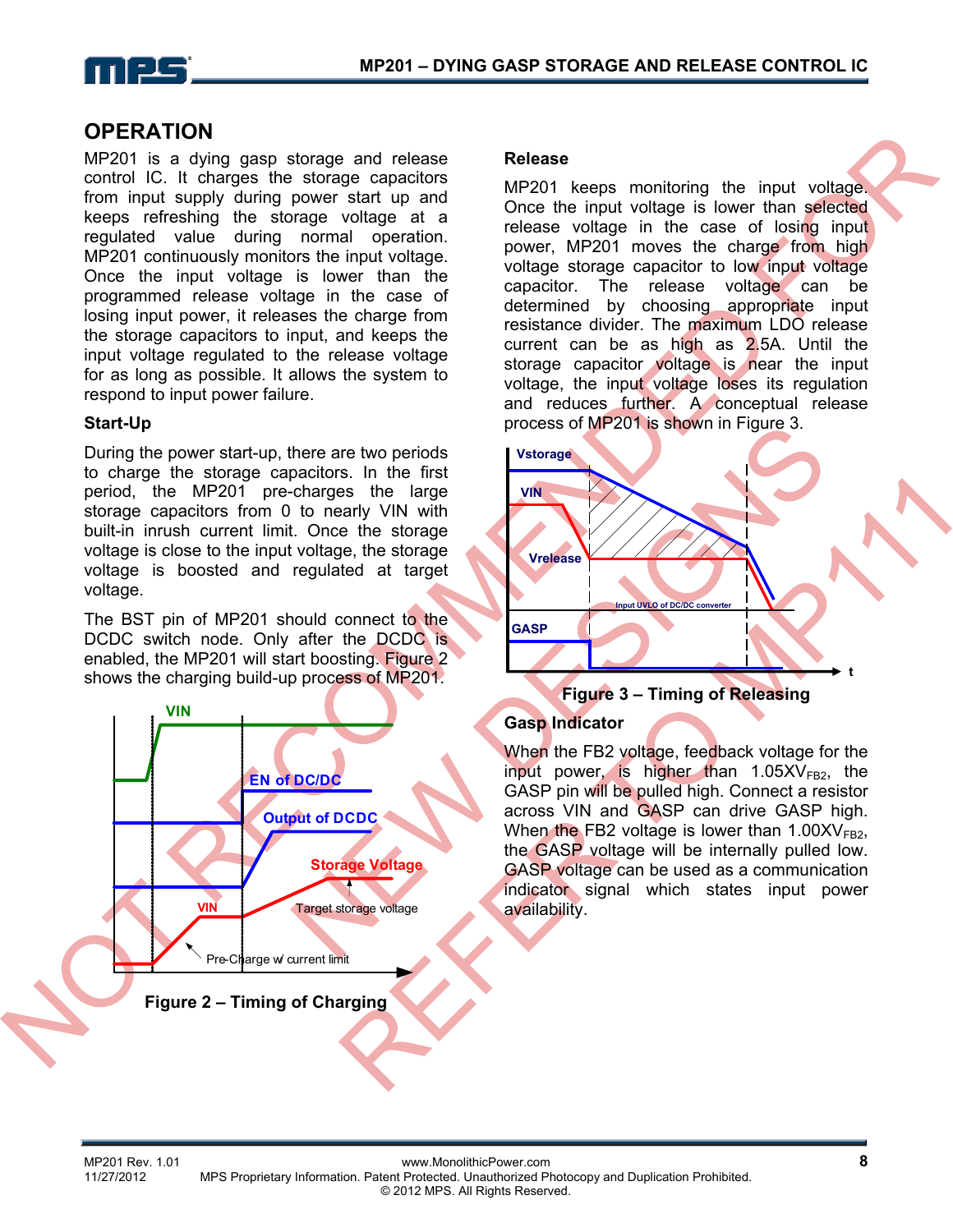

#### **OPERATION**

MP201 is a dying gasp storage and release control IC. It charges the storage capacitors from input supply during power start up and keeps refreshing the storage voltage at a regulated value during normal operation. MP201 continuously monitors the input voltage. Once the input voltage is lower than the programmed release voltage in the case of losing input power, it releases the charge from the storage capacitors to input, and keeps the input voltage regulated to the release voltage for as long as possible. It allows the system to respond to input power failure.

#### **Start-Up**

During the power start-up, there are two periods to charge the storage capacitors. In the first period, the MP201 pre-charges the large storage capacitors from 0 to nearly VIN with built-in inrush current limit. Once the storage voltage is close to the input voltage, the storage voltage is boosted and regulated at target voltage.

The BST pin of MP201 should connect to the DCDC switch node. Only after the DCDC is enabled, the MP201 will start boosting. Figure 2 shows the charging build-up process of MP201.



#### **Release**

MP201 keeps monitoring the input voltage. Once the input voltage is lower than selected release voltage in the case of losing input power, MP201 moves the charge from high voltage storage capacitor to low input voltage capacitor. The release voltage can be determined by choosing appropriate input resistance divider. The maximum LDO release current can be as high as 2.5A. Until the storage capacitor voltage is near the input voltage, the input voltage loses its regulation and reduces further. A conceptual release process of MP201 is shown in Figure 3.



#### **Gasp Indicator**

When the FB2 voltage, feedback voltage for the input power, is higher than  $1.05XV<sub>FB2</sub>$ , the GASP pin will be pulled high. Connect a resistor across VIN and GASP can drive GASP high. When the FB2 voltage is lower than  $1.00XV<sub>FB2</sub>$ , the GASP voltage will be internally pulled low. GASP voltage can be used as a communication indicator signal which states input power availability.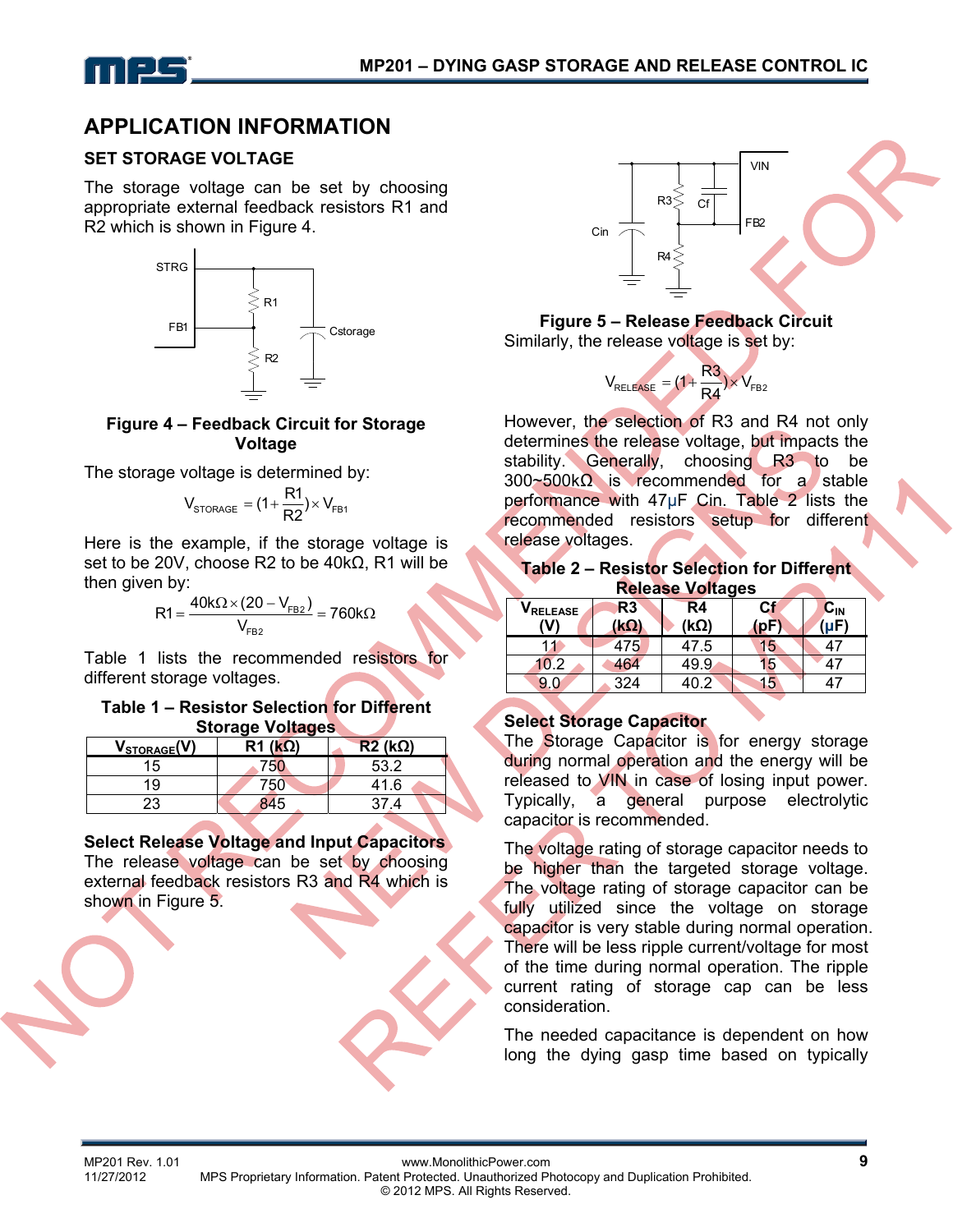

## **APPLICATION INFORMATION**

#### **SET STORAGE VOLTAGE**

The storage voltage can be set by choosing appropriate external feedback resistors R1 and R2 which is shown in Figure 4.



#### **Figure 4 – Feedback Circuit for Storage Voltage**

The storage voltage is determined by:

$$
V_{\text{STORAGE}} = (1 + \frac{R1}{R2}) \times V_{\text{FB1}}
$$

Here is the example, if the storage voltage is set to be 20V, choose R2 to be 40k $\Omega$ , R1 will be then given by:

$$
R1 = \frac{40k\Omega \times (20 - V_{FB2})}{V_{FB2}} = 760k\Omega
$$

Table 1 lists the recommended resistors for different storage voltages.

#### **Table 1 – Resistor Selection for Different Storage Voltages**

|                          | --                 |               |
|--------------------------|--------------------|---------------|
| V <sub>STORAGE</sub> (V) | $R1$ ( $k\Omega$ ) | $R2(k\Omega)$ |
| 15                       |                    | 53.2          |
| 19                       | '50                | 41.6          |
|                          |                    |               |

**Select Release Voltage and Input Capacitors**  The release voltage can be set by choosing external feedback resistors R3 and R4 which is shown in Figure 5.



**Figure 5 – Release Feedback Circuit**  Similarly, the release voltage is set by:



However, the selection of R3 and R4 not only determines the release voltage, but impacts the stability. Generally, choosing R3 to be 300~500kΩ is recommended for a stable performance with 47μF Cin. Table 2 lists the recommended resistors setup for different release voltages.

#### **Table 2 – Resistor Selection for Different Release Voltages**

| VRELEASE<br>(V) | R3<br><u>(kΩ)</u> | R4<br>(kΩ) | Сf | $\mathbf{C}_{\mathsf{IN}}$<br>ันF) |
|-----------------|-------------------|------------|----|------------------------------------|
| 11              | 475               | 47.5       | 15 |                                    |
| 10.2            | 464               | 49.9       | 15 |                                    |
| 9.0             | 324               | ◠          | Ib |                                    |

#### **Select Storage Capacitor**

The Storage Capacitor is for energy storage during normal operation and the energy will be released to VIN in case of losing input power. Typically, a general purpose electrolytic capacitor is recommended.

The voltage rating of storage capacitor needs to be higher than the targeted storage voltage. The voltage rating of storage capacitor can be fully utilized since the voltage on storage capacitor is very stable during normal operation. There will be less ripple current/voltage for most of the time during normal operation. The ripple current rating of storage cap can be less consideration.

The needed capacitance is dependent on how long the dying gasp time based on typically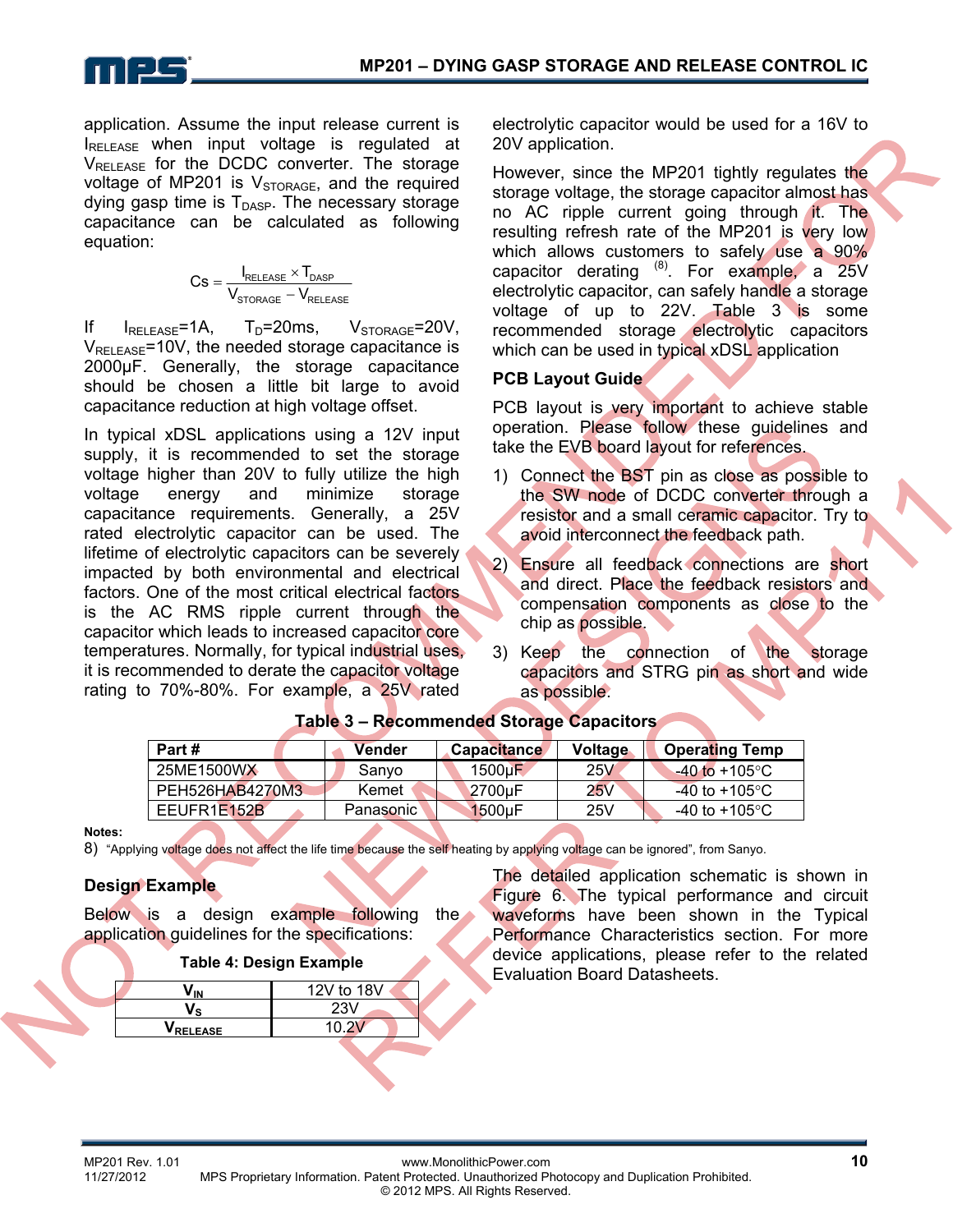

application. Assume the input release current is IRELEASE when input voltage is regulated at  $V_{\text{RFI FASE}}$  for the DCDC converter. The storage voltage of MP201 is  $V_{STORAGE}$ , and the required dying gasp time is  $T_{\text{DASP}}$ . The necessary storage capacitance can be calculated as following equation:

$$
Cs = \frac{I_{\text{RELEASE}} \times T_{\text{DASP}}}{V_{\text{STORAGE}} - V_{\text{RELEASE}}}
$$

If  $I_{REIEASE}$ =1A,  $T_D$ =20ms,  $V_{STORAGE}$ =20V,  $V_{\text{RFI FASE}}$ =10V, the needed storage capacitance is 2000μF. Generally, the storage capacitance should be chosen a little bit large to avoid capacitance reduction at high voltage offset.

In typical xDSL applications using a 12V input supply, it is recommended to set the storage voltage higher than 20V to fully utilize the high voltage energy and minimize storage capacitance requirements. Generally, a 25V rated electrolytic capacitor can be used. The lifetime of electrolytic capacitors can be severely impacted by both environmental and electrical factors. One of the most critical electrical factors is the AC RMS ripple current through the capacitor which leads to increased capacitor core temperatures. Normally, for typical industrial uses, it is recommended to derate the capacitor voltage rating to 70%-80%. For example, a 25V rated

electrolytic capacitor would be used for a 16V to 20V application.

However, since the MP201 tightly regulates the storage voltage, the storage capacitor almost has no AC ripple current going through it. The resulting refresh rate of the MP201 is very low which allows customers to safely use a 90% capacitor derating  $^{(8)}$ . For example, a 25V electrolytic capacitor, can safely handle a storage voltage of up to 22V. Table 3 is some recommended storage electrolytic capacitors which can be used in typical xDSL application

#### **PCB Layout Guide**

PCB layout is very important to achieve stable operation. Please follow these guidelines and take the EVB board layout for references.

- 1) Connect the BST pin as close as possible to the SW node of DCDC converter through a resistor and a small ceramic capacitor. Try to avoid interconnect the feedback path.
- 2) Ensure all feedback connections are short and direct. Place the feedback resistors and compensation components as close to the chip as possible.
- 3) Keep the connection of the storage capacitors and STRG pin as short and wide as possible.

| Part #          | Vender    | <b>Capacitance</b> | Voltage | <b>Operating Temp</b> |
|-----------------|-----------|--------------------|---------|-----------------------|
| 25ME1500WX      | Sanvo     | 1500uF             | 25V     | $-40$ to +105 °C      |
| PEH526HAB4270M3 | Kemet     | 2700uF             | 25V     | -40 to +105°C.        |
| EEUFR1E152B     | Panasonic | 1500uF             | 25V     | -40 to +105°C $\,$    |

#### **Table 3 – Recommended Storage Capacitors**

**Notes:** 

8) "Applying voltage does not affect the life time because the self heating by applying voltage can be ignored", from Sanyo.

#### **Design Example**

Below is a design example following the application guidelines for the specifications:

|         | 12V to 18V |
|---------|------------|
|         | 23V        |
| RELEASE |            |
|         |            |

The detailed application schematic is shown in Figure 6. The typical performance and circuit waveforms have been shown in the Typical Performance Characteristics section. For more device applications, please refer to the related Evaluation Board Datasheets.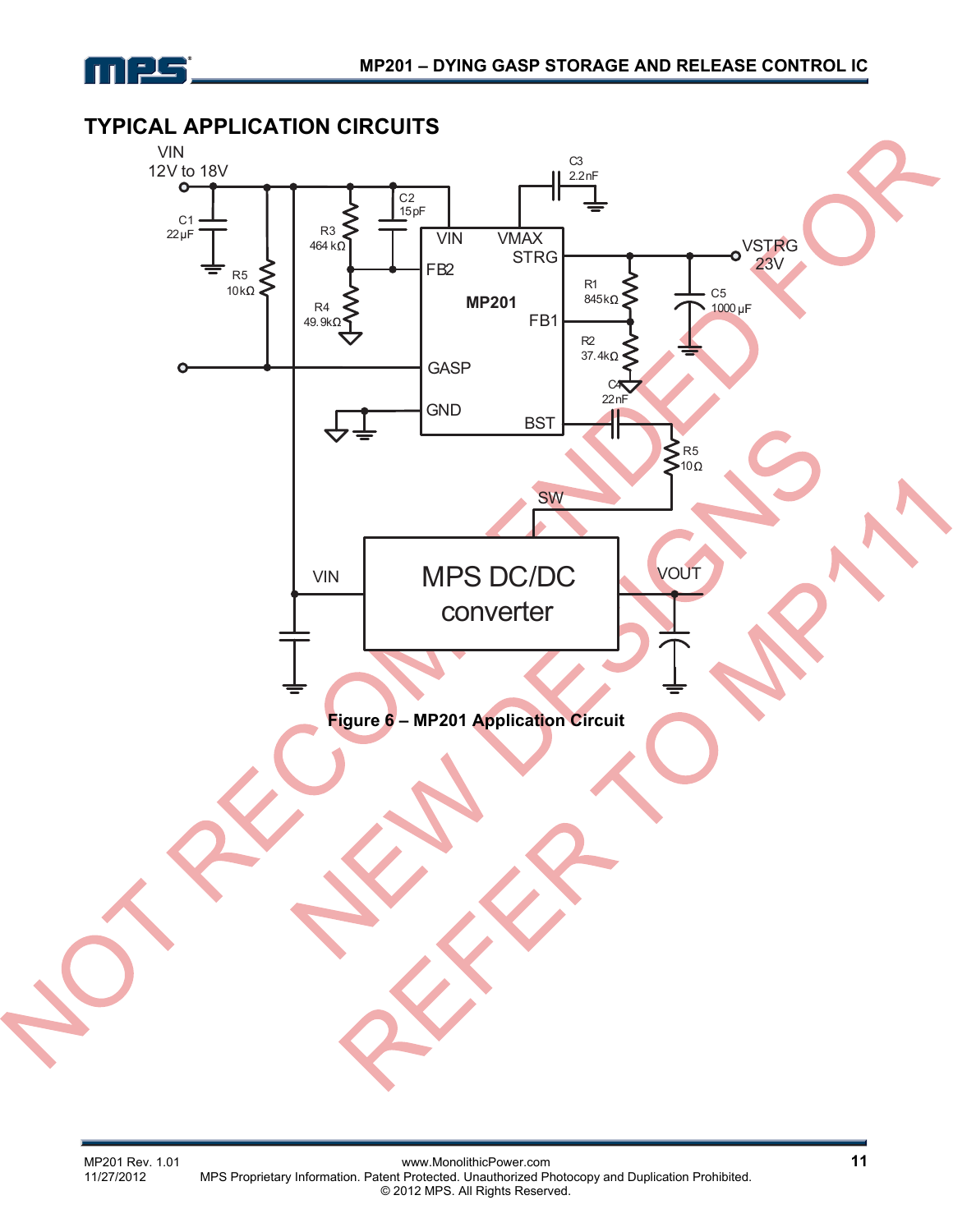